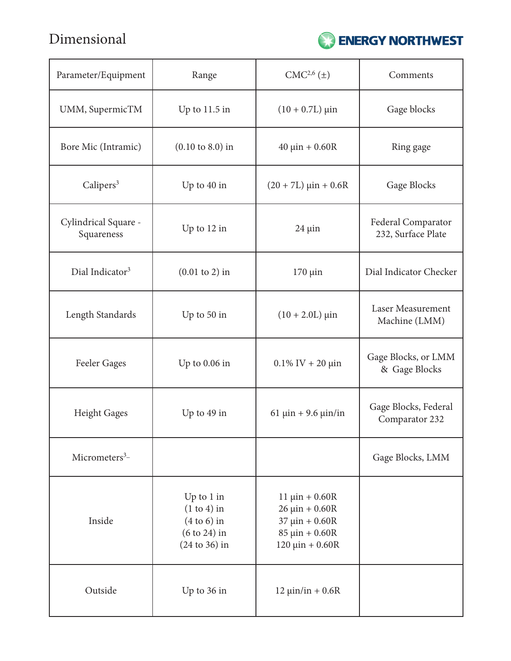Dimensional



| Parameter/Equipment                | Range                                                                               | CMC <sup>2,6</sup> (±)                                                                                           | Comments                                  |
|------------------------------------|-------------------------------------------------------------------------------------|------------------------------------------------------------------------------------------------------------------|-------------------------------------------|
| UMM, SupermicTM                    | Up to $11.5$ in                                                                     | $(10 + 0.7L) \,\mu\text{in}$                                                                                     | Gage blocks                               |
| Bore Mic (Intramic)                | $(0.10 \text{ to } 8.0)$ in                                                         | $40 \mu$ in + 0.60R                                                                                              | Ring gage                                 |
| Calipers <sup>3</sup>              | Up to 40 in                                                                         | $(20 + 7L) \text{ } \mu \text{in} + 0.6R$                                                                        | Gage Blocks                               |
| Cylindrical Square -<br>Squareness | Up to 12 in                                                                         | $24 \mu$ in                                                                                                      | Federal Comparator<br>232, Surface Plate  |
| Dial Indicator <sup>3</sup>        | $(0.01 \text{ to } 2)$ in                                                           | $170 \mu$ in                                                                                                     | Dial Indicator Checker                    |
| Length Standards                   | Up to 50 in                                                                         | $(10 + 2.0L) \,\mu\text{in}$                                                                                     | <b>Laser Measurement</b><br>Machine (LMM) |
| <b>Feeler Gages</b>                | Up to $0.06$ in                                                                     | $0.1\%$ IV + 20 $\mu$ in                                                                                         | Gage Blocks, or LMM<br>& Gage Blocks      |
| <b>Height Gages</b>                | Up to 49 in                                                                         | 61 $\mu$ in + 9.6 $\mu$ in/in                                                                                    | Gage Blocks, Federal<br>Comparator 232    |
| Micrometers $3-$                   |                                                                                     |                                                                                                                  | Gage Blocks, LMM                          |
| Inside                             | Up to $1$ in<br>$(1 to 4)$ in<br>$(4 to 6)$ in<br>$(6 to 24)$ in<br>$(24 to 36)$ in | $11 \mu$ in + 0.60R<br>$26 \mu in + 0.60R$<br>$37 \mu in + 0.60R$<br>$85 \mu in + 0.60R$<br>$120 \mu in + 0.60R$ |                                           |
| Outside                            | Up to 36 in                                                                         | $12 \mu$ in/in + 0.6R                                                                                            |                                           |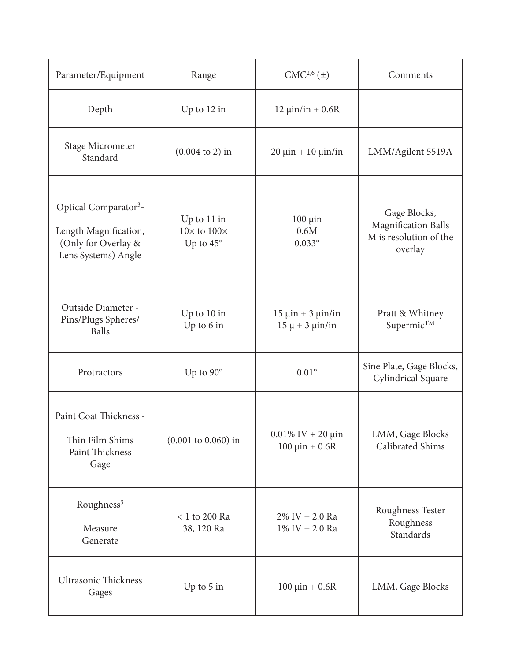| Parameter/Equipment                                                                                      | Range                                                 | CMC <sup>2,6</sup> (±)                                | Comments                                                                        |
|----------------------------------------------------------------------------------------------------------|-------------------------------------------------------|-------------------------------------------------------|---------------------------------------------------------------------------------|
| Depth                                                                                                    | Up to 12 in                                           | $12 \mu$ in/in + 0.6R                                 |                                                                                 |
| Stage Micrometer<br>Standard                                                                             | $(0.004 \text{ to } 2)$ in                            | $20 \mu$ in + 10 $\mu$ in/in                          | LMM/Agilent 5519A                                                               |
| Optical Comparator <sup>3</sup> -<br>Length Magnification,<br>(Only for Overlay &<br>Lens Systems) Angle | Up to 11 in<br>$10\times$ to $100\times$<br>Up to 45° | $100 \mu$ in<br>0.6M<br>$0.033$ °                     | Gage Blocks,<br><b>Magnification Balls</b><br>M is resolution of the<br>overlay |
| Outside Diameter -<br>Pins/Plugs Spheres/<br><b>Balls</b>                                                | Up to 10 in<br>Up to 6 in                             | $15 \mu$ in + 3 $\mu$ in/in<br>$15 \mu + 3 \mu$ in/in | Pratt & Whitney<br>Supermic <sup>TM</sup>                                       |
| Protractors                                                                                              | Up to 90°                                             | $0.01^{\circ}$                                        | Sine Plate, Gage Blocks,<br>Cylindrical Square                                  |
| Paint Coat Thickness -<br>Thin Film Shims<br>Paint Thickness<br>Gage                                     | $(0.001 \text{ to } 0.060) \text{ in}$                | $0.01\%$ IV + 20 $\mu$ in<br>$100 \mu in + 0.6 R$     | LMM, Gage Blocks<br>Calibrated Shims                                            |
| Roughness <sup>3</sup><br>Measure<br>Generate                                                            | $< 1$ to 200 Ra<br>38, 120 Ra                         | $2\%$ IV + 2.0 Ra<br>$1\%$ IV + 2.0 Ra                | Roughness Tester<br>Roughness<br>Standards                                      |
| <b>Ultrasonic Thickness</b><br>Gages                                                                     | Up to 5 in                                            | $100 \mu in + 0.6 R$                                  | LMM, Gage Blocks                                                                |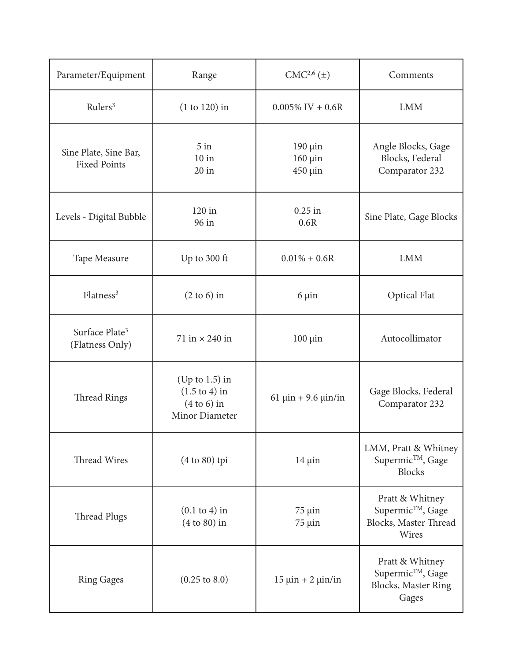| Parameter/Equipment                           | Range                                                                            | CMC <sup>2,6</sup> (±)                  | Comments                                                                           |
|-----------------------------------------------|----------------------------------------------------------------------------------|-----------------------------------------|------------------------------------------------------------------------------------|
| Rulers <sup>3</sup>                           | $(1 to 120)$ in                                                                  | $0.005\%$ IV + 0.6R                     | <b>LMM</b>                                                                         |
| Sine Plate, Sine Bar,<br><b>Fixed Points</b>  | $5$ in<br>$10$ in<br>$20$ in                                                     | $190 \mu$ in<br>$160 \mu$ in<br>450 µin | Angle Blocks, Gage<br>Blocks, Federal<br>Comparator 232                            |
| Levels - Digital Bubble                       | 120 in<br>96 in                                                                  | $0.25$ in<br>0.6R                       | Sine Plate, Gage Blocks                                                            |
| Tape Measure                                  | Up to 300 ft                                                                     | $0.01\% + 0.6R$                         | <b>LMM</b>                                                                         |
| Flatness <sup>3</sup>                         | $(2 \text{ to } 6)$ in                                                           | $6 \mu$ in                              | <b>Optical Flat</b>                                                                |
| Surface Plate <sup>3</sup><br>(Flatness Only) | 71 in $\times$ 240 in                                                            | $100 \mu$ in                            | Autocollimator                                                                     |
| <b>Thread Rings</b>                           | (Up to $1.5$ ) in<br>$(1.5 \text{ to } 4)$ in<br>$(4 to 6)$ in<br>Minor Diameter | 61 $\mu$ in + 9.6 $\mu$ in/in           | Gage Blocks, Federal<br>Comparator 232                                             |
| Thread Wires                                  | $(4 to 80)$ tpi                                                                  | $14 \mu$ in                             | LMM, Pratt & Whitney<br>Supermic™, Gage<br><b>Blocks</b>                           |
| <b>Thread Plugs</b>                           | $(0.1$ to 4) in<br>$(4 to 80)$ in                                                | $75 \mu$ in<br>$75 \mu$ in              | Pratt & Whitney<br>Supermic <sup>TM</sup> , Gage<br>Blocks, Master Thread<br>Wires |
| <b>Ring Gages</b>                             | $(0.25 \text{ to } 8.0)$                                                         | $15 \mu$ in + 2 $\mu$ in/in             | Pratt & Whitney<br>Supermic™, Gage<br><b>Blocks</b> , Master Ring<br>Gages         |